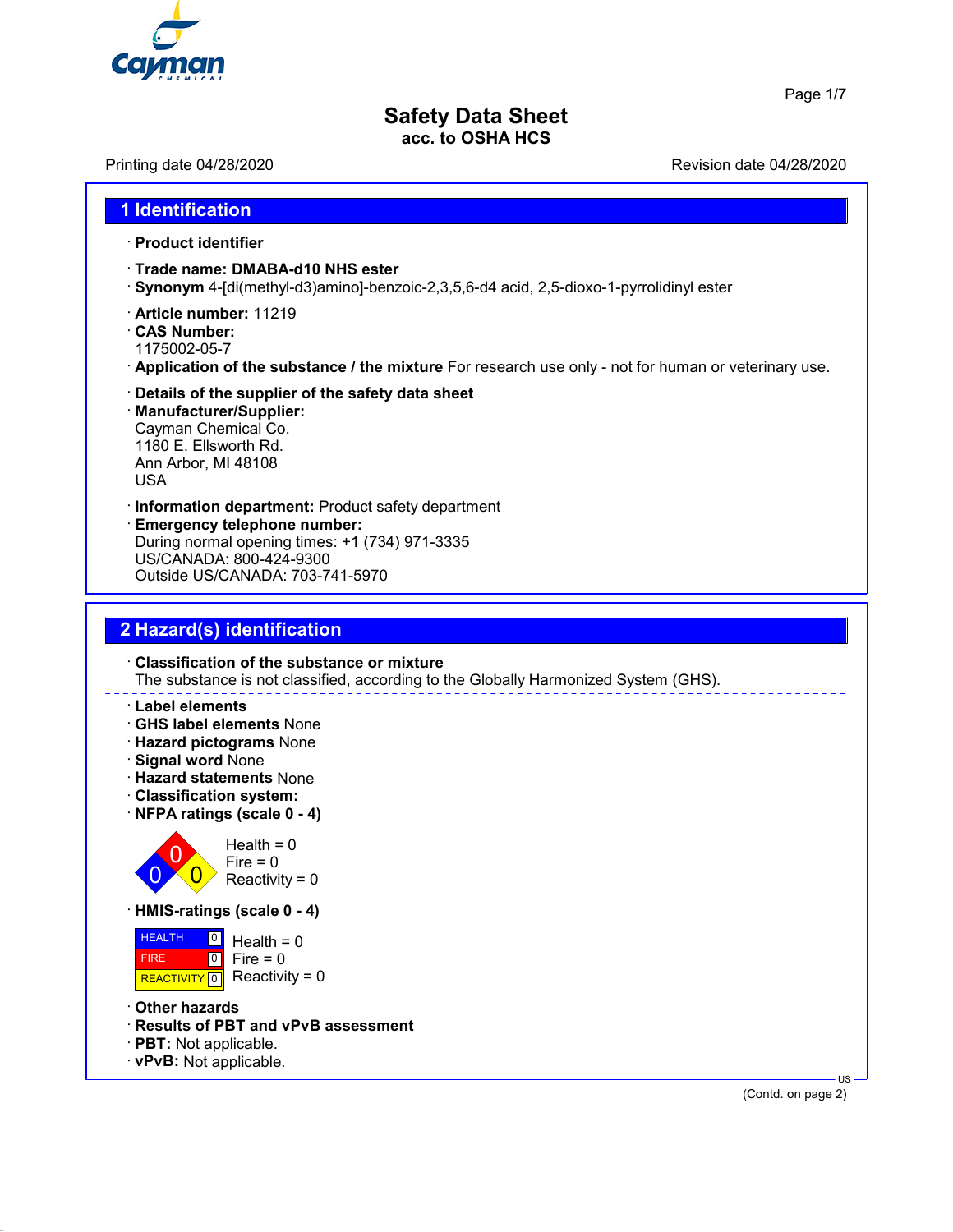

# **Safety Data Sheet**

**acc. to OSHA HCS**

Printing date 04/28/2020 **Printing date 04/28/2020** Revision date 04/28/2020

### **1 Identification**

#### · **Product identifier**

- · **Trade name: DMABA-d10 NHS ester**
- · **Synonym** 4-[di(methyl-d3)amino]-benzoic-2,3,5,6-d4 acid, 2,5-dioxo-1-pyrrolidinyl ester
- · **Article number:** 11219
- · **CAS Number:**
- 1175002-05-7
- · **Application of the substance / the mixture** For research use only not for human or veterinary use.
- · **Details of the supplier of the safety data sheet** · **Manufacturer/Supplier:** Cayman Chemical Co.

1180 E. Ellsworth Rd. Ann Arbor, MI 48108 USA

- · **Information department:** Product safety department
- · **Emergency telephone number:** During normal opening times: +1 (734) 971-3335 US/CANADA: 800-424-9300 Outside US/CANADA: 703-741-5970

### **2 Hazard(s) identification**

· **Classification of the substance or mixture** The substance is not classified, according to the Globally Harmonized System (GHS).

#### · **Label elements**

- · **GHS label elements** None
- · **Hazard pictograms** None
- · **Signal word** None
- · **Hazard statements** None
- · **Classification system:**
- · **NFPA ratings (scale 0 4)**



· **HMIS-ratings (scale 0 - 4)**

**HEALTH**  FIRE REACTIVITY  $\boxed{0}$  Reactivity = 0  $\boxed{0}$  $\overline{10}$ Health  $= 0$  $Fire = 0$ 

- · **Other hazards**
- · **Results of PBT and vPvB assessment**
- · **PBT:** Not applicable.
- · **vPvB:** Not applicable.

(Contd. on page 2)

US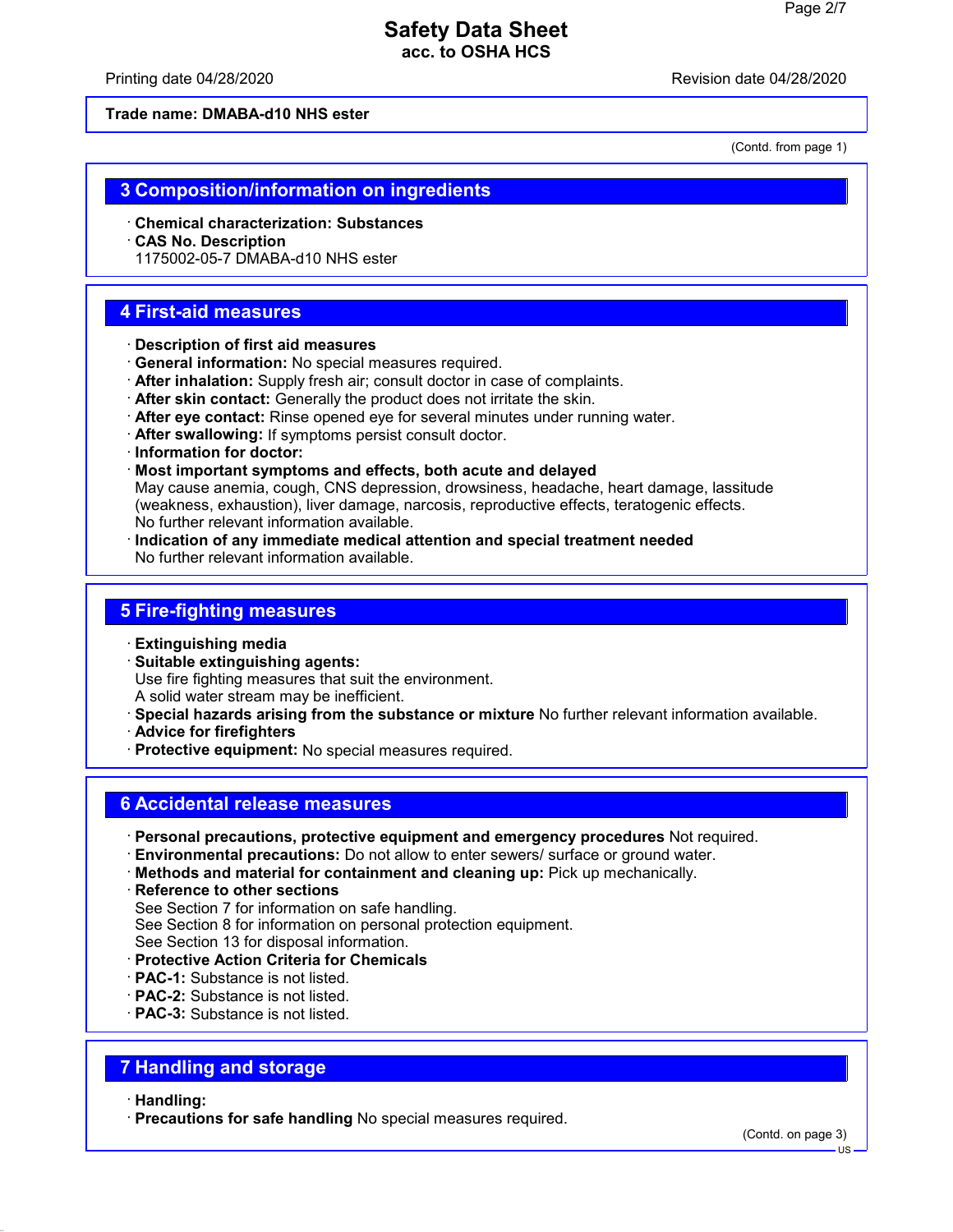Printing date 04/28/2020 **Revision date 04/28/2020** 

**Trade name: DMABA-d10 NHS ester**

(Contd. from page 1)

### **3 Composition/information on ingredients**

- · **Chemical characterization: Substances**
- · **CAS No. Description**
- 1175002-05-7 DMABA-d10 NHS ester

### **4 First-aid measures**

- · **Description of first aid measures**
- · **General information:** No special measures required.
- · **After inhalation:** Supply fresh air; consult doctor in case of complaints.
- · **After skin contact:** Generally the product does not irritate the skin.
- · **After eye contact:** Rinse opened eye for several minutes under running water.
- · **After swallowing:** If symptoms persist consult doctor.
- · **Information for doctor:**
- · **Most important symptoms and effects, both acute and delayed** May cause anemia, cough, CNS depression, drowsiness, headache, heart damage, lassitude (weakness, exhaustion), liver damage, narcosis, reproductive effects, teratogenic effects. No further relevant information available.
- · **Indication of any immediate medical attention and special treatment needed** No further relevant information available.

### **5 Fire-fighting measures**

- · **Extinguishing media**
- · **Suitable extinguishing agents:** Use fire fighting measures that suit the environment. A solid water stream may be inefficient.
- · **Special hazards arising from the substance or mixture** No further relevant information available.
- · **Advice for firefighters**
- · **Protective equipment:** No special measures required.

### **6 Accidental release measures**

- · **Personal precautions, protective equipment and emergency procedures** Not required.
- · **Environmental precautions:** Do not allow to enter sewers/ surface or ground water.
- · **Methods and material for containment and cleaning up:** Pick up mechanically.
- · **Reference to other sections**
- See Section 7 for information on safe handling.
- See Section 8 for information on personal protection equipment.

See Section 13 for disposal information.

- · **Protective Action Criteria for Chemicals**
- · **PAC-1:** Substance is not listed.
- · **PAC-2:** Substance is not listed.
- · **PAC-3:** Substance is not listed.

### **7 Handling and storage**

#### · **Handling:**

· **Precautions for safe handling** No special measures required.

(Contd. on page 3)

US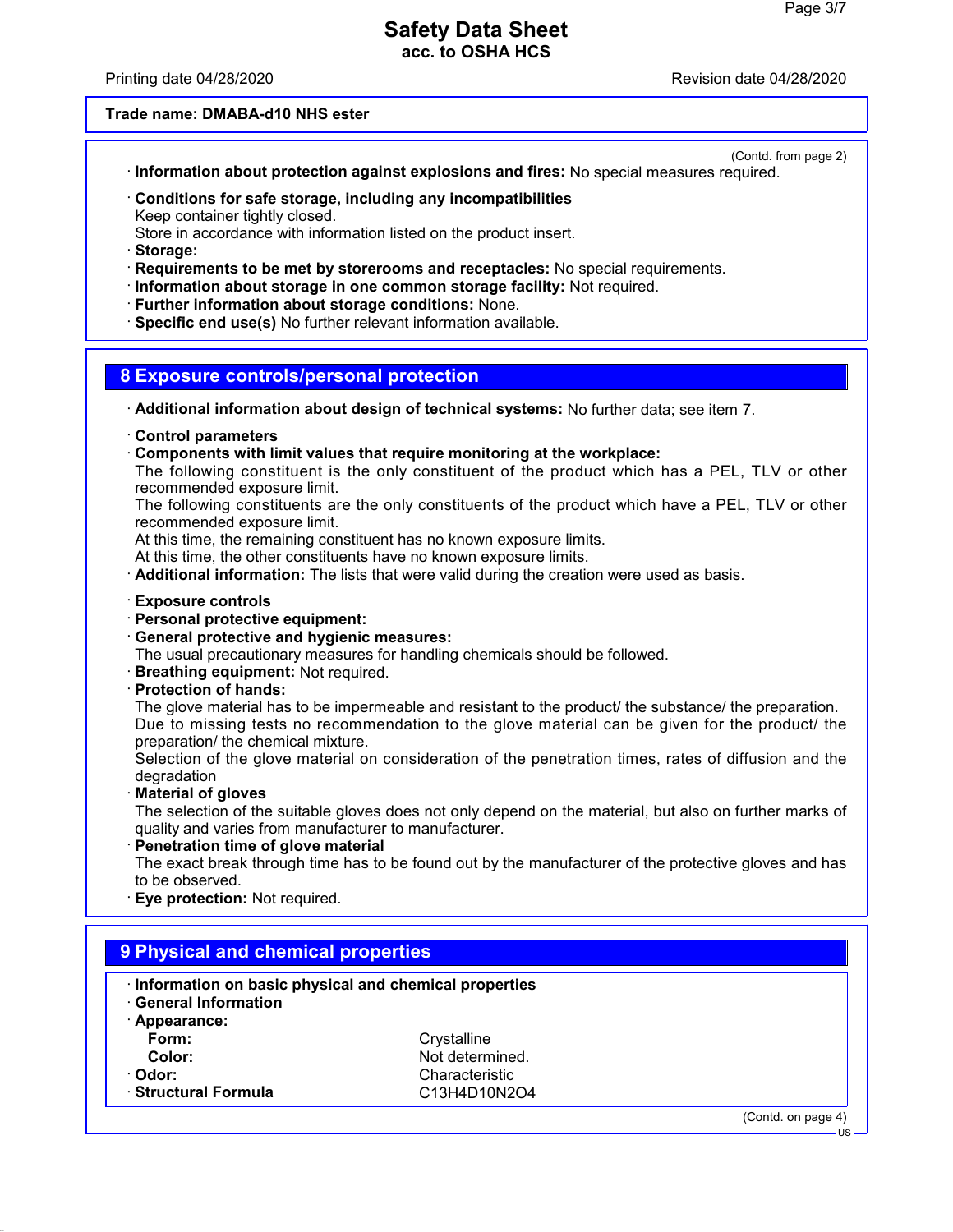Printing date 04/28/2020 **Revision date 04/28/2020** 

### **Trade name: DMABA-d10 NHS ester**

(Contd. from page 2)

- · **Information about protection against explosions and fires:** No special measures required.
- · **Conditions for safe storage, including any incompatibilities** Keep container tightly closed.
- Store in accordance with information listed on the product insert.
- · **Storage:**
- · **Requirements to be met by storerooms and receptacles:** No special requirements.
- · **Information about storage in one common storage facility:** Not required.
- · **Further information about storage conditions:** None.
- · **Specific end use(s)** No further relevant information available.

### **8 Exposure controls/personal protection**

- · **Additional information about design of technical systems:** No further data; see item 7.
- · **Control parameters**
- · **Components with limit values that require monitoring at the workplace:**
- The following constituent is the only constituent of the product which has a PEL, TLV or other recommended exposure limit.

The following constituents are the only constituents of the product which have a PEL, TLV or other recommended exposure limit.

At this time, the remaining constituent has no known exposure limits.

At this time, the other constituents have no known exposure limits.

· **Additional information:** The lists that were valid during the creation were used as basis.

#### · **Exposure controls**

- · **Personal protective equipment:**
- · **General protective and hygienic measures:**

The usual precautionary measures for handling chemicals should be followed.

- · **Breathing equipment:** Not required.
- · **Protection of hands:**

The glove material has to be impermeable and resistant to the product/ the substance/ the preparation. Due to missing tests no recommendation to the glove material can be given for the product/ the preparation/ the chemical mixture.

Selection of the glove material on consideration of the penetration times, rates of diffusion and the degradation

· **Material of gloves**

The selection of the suitable gloves does not only depend on the material, but also on further marks of quality and varies from manufacturer to manufacturer.

· **Penetration time of glove material**

The exact break through time has to be found out by the manufacturer of the protective gloves and has to be observed.

**Eye protection: Not required.** 

| Information on basic physical and chemical properties<br><b>General Information</b> |                 |  |  |  |
|-------------------------------------------------------------------------------------|-----------------|--|--|--|
| · Appearance:                                                                       |                 |  |  |  |
| Form:                                                                               | Crystalline     |  |  |  |
| Color:                                                                              | Not determined. |  |  |  |
| · Odor:                                                                             | Characteristic  |  |  |  |
| · Structural Formula                                                                | C13H4D10N2O4    |  |  |  |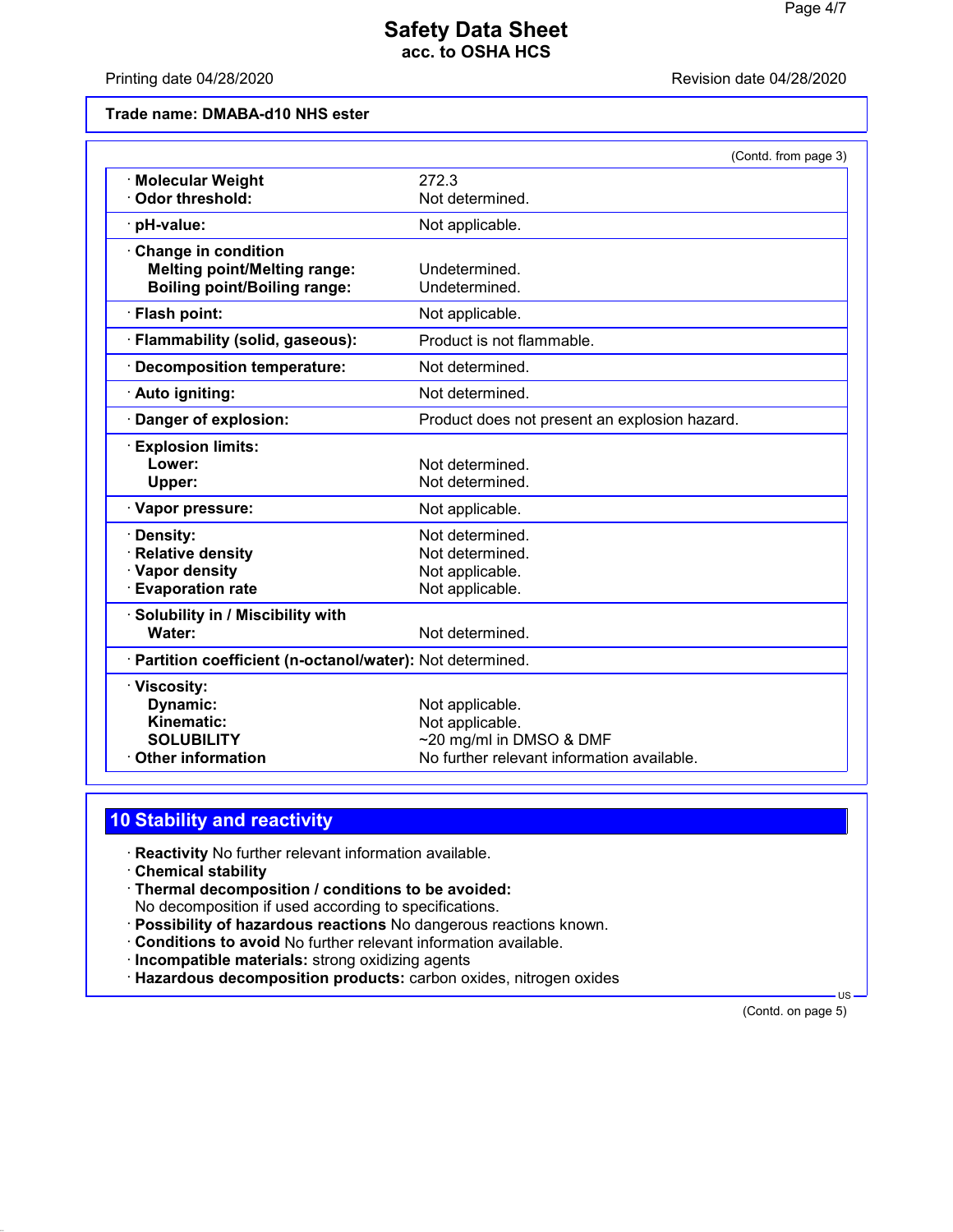Printing date 04/28/2020 **Printing date 04/28/2020** 

#### **Trade name: DMABA-d10 NHS ester**

|                                                            | (Contd. from page 3)                          |
|------------------------------------------------------------|-----------------------------------------------|
| <b>Molecular Weight</b>                                    | 272.3                                         |
| Odor threshold:                                            | Not determined.                               |
| · pH-value:                                                | Not applicable.                               |
| Change in condition                                        |                                               |
| <b>Melting point/Melting range:</b>                        | Undetermined.                                 |
| <b>Boiling point/Boiling range:</b>                        | Undetermined.                                 |
| · Flash point:                                             | Not applicable.                               |
| · Flammability (solid, gaseous):                           | Product is not flammable.                     |
| <b>Decomposition temperature:</b>                          | Not determined.                               |
| · Auto igniting:                                           | Not determined.                               |
| Danger of explosion:                                       | Product does not present an explosion hazard. |
| <b>Explosion limits:</b>                                   |                                               |
| Lower:                                                     | Not determined.                               |
| Upper:                                                     | Not determined.                               |
| · Vapor pressure:                                          | Not applicable.                               |
| Density:                                                   | Not determined.                               |
| <b>Relative density</b>                                    | Not determined.                               |
| · Vapor density                                            | Not applicable.                               |
| <b>Evaporation rate</b>                                    | Not applicable.                               |
| Solubility in / Miscibility with                           |                                               |
| Water:                                                     | Not determined.                               |
| · Partition coefficient (n-octanol/water): Not determined. |                                               |
| · Viscosity:                                               |                                               |
| Dynamic:                                                   | Not applicable.                               |
| <b>Kinematic:</b>                                          | Not applicable.                               |
| <b>SOLUBILITY</b>                                          | ~20 mg/ml in DMSO & DMF                       |
| <b>Other information</b>                                   | No further relevant information available.    |

# **10 Stability and reactivity**

- · **Reactivity** No further relevant information available.
- · **Chemical stability**
- · **Thermal decomposition / conditions to be avoided:**
- No decomposition if used according to specifications.
- · **Possibility of hazardous reactions** No dangerous reactions known.
- · **Conditions to avoid** No further relevant information available.
- · **Incompatible materials:** strong oxidizing agents
- · **Hazardous decomposition products:** carbon oxides, nitrogen oxides

(Contd. on page 5)

US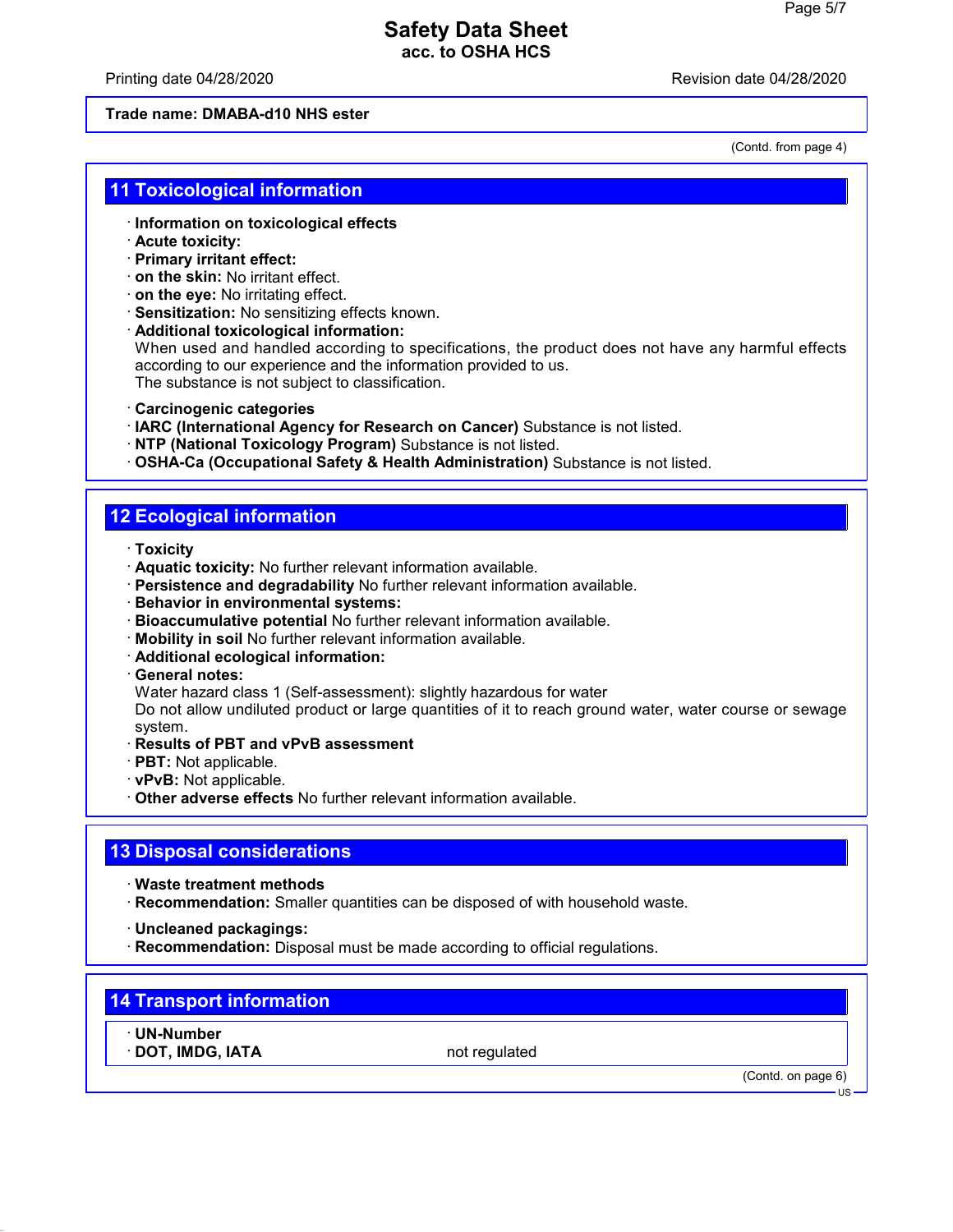Printing date 04/28/2020 **Revision date 04/28/2020** 

### **Trade name: DMABA-d10 NHS ester**

(Contd. from page 4)

### **11 Toxicological information**

- · **Information on toxicological effects**
- · **Acute toxicity:**
- · **Primary irritant effect:**
- · **on the skin:** No irritant effect.
- · **on the eye:** No irritating effect.
- · **Sensitization:** No sensitizing effects known.
- · **Additional toxicological information:**

When used and handled according to specifications, the product does not have any harmful effects according to our experience and the information provided to us. The substance is not subject to classification.

- · **Carcinogenic categories**
- · **IARC (International Agency for Research on Cancer)** Substance is not listed.
- · **NTP (National Toxicology Program)** Substance is not listed.
- · **OSHA-Ca (Occupational Safety & Health Administration)** Substance is not listed.

# **12 Ecological information**

- · **Toxicity**
- · **Aquatic toxicity:** No further relevant information available.
- · **Persistence and degradability** No further relevant information available.
- · **Behavior in environmental systems:**
- · **Bioaccumulative potential** No further relevant information available.
- · **Mobility in soil** No further relevant information available.
- · **Additional ecological information:**
- · **General notes:**
- Water hazard class 1 (Self-assessment): slightly hazardous for water

Do not allow undiluted product or large quantities of it to reach ground water, water course or sewage system.

- · **Results of PBT and vPvB assessment**
- · **PBT:** Not applicable.
- · **vPvB:** Not applicable.
- · **Other adverse effects** No further relevant information available.

### **13 Disposal considerations**

- · **Waste treatment methods**
- · **Recommendation:** Smaller quantities can be disposed of with household waste.
- · **Uncleaned packagings:**
- · **Recommendation:** Disposal must be made according to official regulations.

# **14 Transport information**

- · **UN-Number**
- **· DOT, IMDG, IATA** not regulated

(Contd. on page 6)

US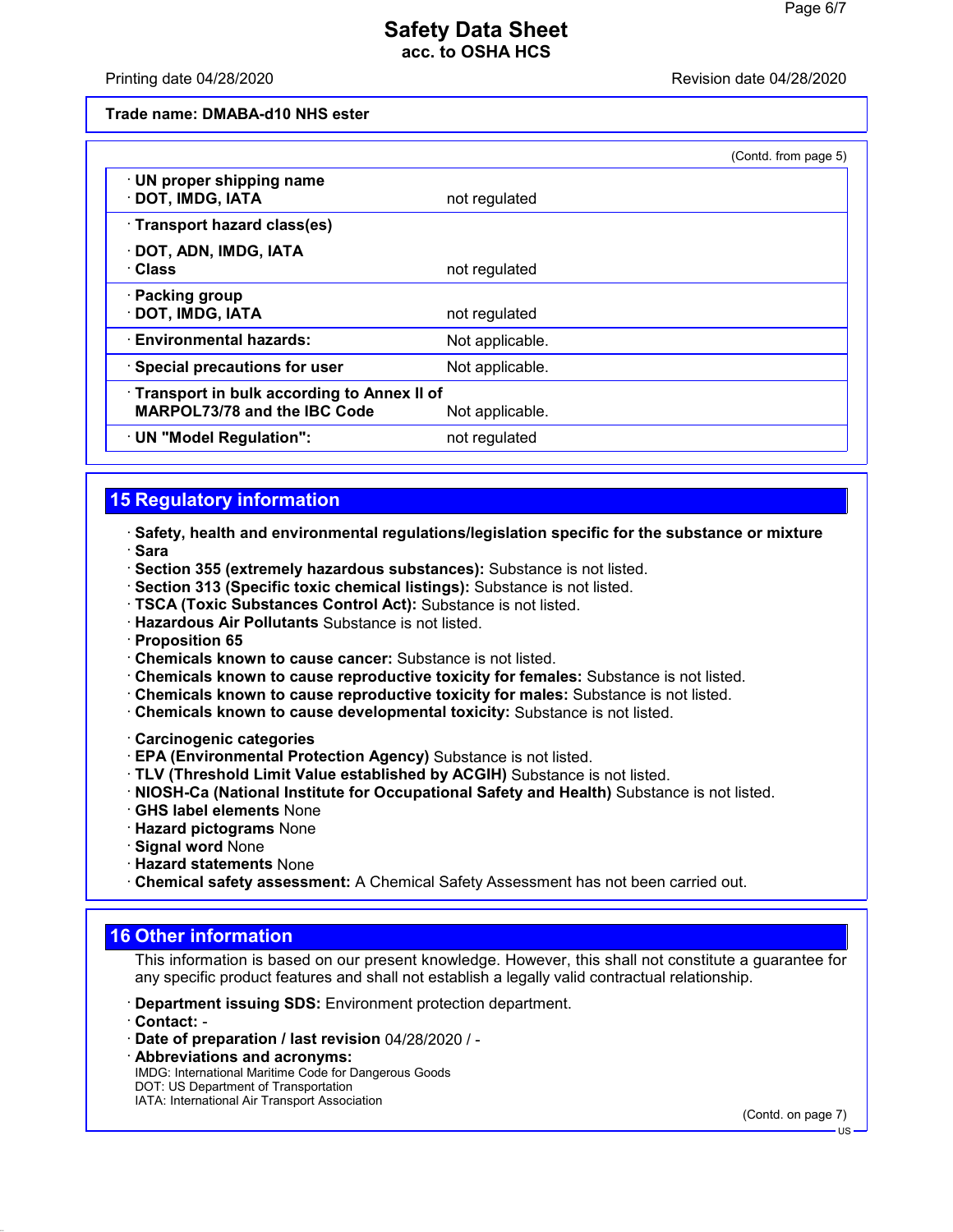#### Printing date 04/28/2020 **Revision date 04/28/2020**

**Trade name: DMABA-d10 NHS ester**

|                                                                            |                 | (Contd. from page 5) |
|----------------------------------------------------------------------------|-----------------|----------------------|
| · UN proper shipping name<br>DOT, IMDG, IATA                               | not regulated   |                      |
| Transport hazard class(es)                                                 |                 |                      |
| · DOT, ADN, IMDG, IATA<br>· Class                                          | not regulated   |                      |
| · Packing group<br>· DOT, IMDG, IATA                                       | not regulated   |                      |
| · Environmental hazards:                                                   | Not applicable. |                      |
| · Special precautions for user                                             | Not applicable. |                      |
| Transport in bulk according to Annex II of<br>MARPOL73/78 and the IBC Code | Not applicable. |                      |
| · UN "Model Regulation":                                                   | not regulated   |                      |

# **15 Regulatory information**

· **Safety, health and environmental regulations/legislation specific for the substance or mixture** · **Sara**

- · **Section 355 (extremely hazardous substances):** Substance is not listed.
- · **Section 313 (Specific toxic chemical listings):** Substance is not listed.
- · **TSCA (Toxic Substances Control Act):** Substance is not listed.
- · **Hazardous Air Pollutants** Substance is not listed.
- · **Proposition 65**
- · **Chemicals known to cause cancer:** Substance is not listed.
- · **Chemicals known to cause reproductive toxicity for females:** Substance is not listed.
- · **Chemicals known to cause reproductive toxicity for males:** Substance is not listed.
- · **Chemicals known to cause developmental toxicity:** Substance is not listed.
- · **Carcinogenic categories**
- · **EPA (Environmental Protection Agency)** Substance is not listed.
- · **TLV (Threshold Limit Value established by ACGIH)** Substance is not listed.
- · **NIOSH-Ca (National Institute for Occupational Safety and Health)** Substance is not listed.
- · **GHS label elements** None
- · **Hazard pictograms** None
- · **Signal word** None
- · **Hazard statements** None
- · **Chemical safety assessment:** A Chemical Safety Assessment has not been carried out.

# **16 Other information**

This information is based on our present knowledge. However, this shall not constitute a guarantee for any specific product features and shall not establish a legally valid contractual relationship.

- · **Department issuing SDS:** Environment protection department.
- · **Contact:** -
- · **Date of preparation / last revision** 04/28/2020 / -
- · **Abbreviations and acronyms:** IMDG: International Maritime Code for Dangerous Goods DOT: US Department of Transportation IATA: International Air Transport Association

(Contd. on page 7)

US